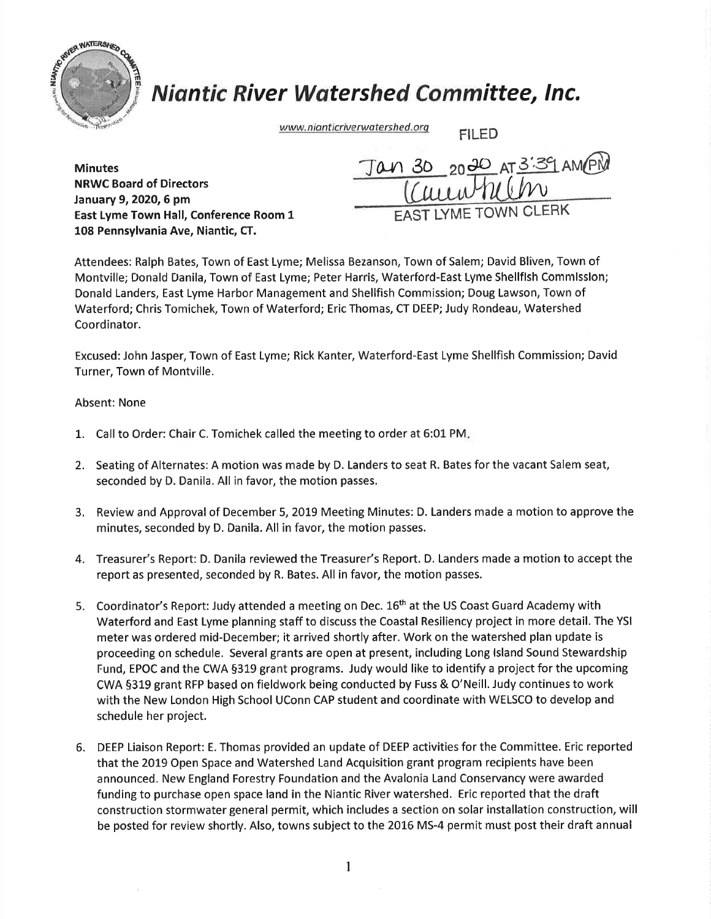

## Niantic River Watershed Committee, lnc.

www.nianticriverwatershed.org FILED

NRWC Board of Directors January 9,202O,6 pm East Lyme Town Hall, Conference Room 1 108 Pennsylvania Ave, Niantic, CT.

 $M_{\text{inutes}}$   $\frac{1}{30}$   $\frac{30}{20}$   $\frac{30}{20}$   $\frac{3}{3}$   $\frac{3}{3}$   $\frac{3}{1}$   $\frac{3}{3}$   $\frac{3}{1}$   $\frac{3}{3}$   $\frac{3}{1}$   $\frac{3}{3}$   $\frac{3}{1}$   $\frac{3}{1}$   $\frac{3}{1}$   $\frac{3}{1}$   $\frac{3}{1}$   $\frac{3}{1}$   $\frac{3}{1}$   $\frac{3}{1}$   $\frac{3}{1}$   $\frac{3$  $\underline{\text{U}}$ EAST LYME TOWN CLERK

Attendees: Ralph Bates, Town of East Lyme; Melissa Bezanson, Town of Salem; David Bliven, Town of Montville; Donald Danila, Town of East Lyme; Peter Harris, Waterford-East Lyme Shellflsh Commlsslon; Donald Landers, East Lyme Harbor Management and Shellfish Commission; Doug Lawson, Town of Waterford; Chris Tomichek, Town of Waterford; Eric Thomas, CT DEEP; Judy Rondeau, Watershed Coordinator.

Excused: John Jasper, Town of East Lyme; Rick Kanter, Waterford-East Lyme Shellfish Commission; David Turner, Town of Montville.

## Absent: None

- 1. Call to Order: Chair C. Tomichek called the meeting to order at 6:01 PM.
- 2. Seating of Alternates: A motion was made by D. Landers to seat R. Bates for the vacant Salem seat, seconded by D. Danila. All in favor, the motion passes.
- 3. Review and Approval of December 5, 2019 Meeting Minutes: D. Landers made a motion to approve the minutes, seconded by D. Danila. All in favor, the motion passes.
- 4. Treasurer's Report: D. Danila reviewed the Treasurer's Report. D. Landers made a motion to accept the report as presented, seconded by R. Bates. All in favor, the motion passes.
- 5. Coordinator's Report: Judy attended a meeting on Dec. 16<sup>th</sup> at the US Coast Guard Academy with Waterford and East Lyme planning staff to discuss the Coastal Resiliency project in more detail. The YSI meter was ordered mid-December; it arrived shortly after. Work on the watershed plan update is proceeding on schedule. Several grants are open at present, including Long lsland Sound Stewardship Fund, EPOC and the CWA 5319 grant programs. Judy would like to identify a project for the upcoming CWA 5319 grant RFP based on fieldwork being conducted by Fuss & O'Neill. Judy continues to work with the New London High School UConn CAP student and coordinate with WELSCO to develop and schedule her project.
- 6. DEEP Liaison Report: E. Thomas provided an update of DEEP activities for the Committee. Eric reported that the 2019 Open Space and Watershed Land Acquisition grant program recipients have been announced. New England Forestry Foundation and the Avalonia Land Conservancy were awarded funding to purchase open space land in the Niantic River watershed. Eric reported that the draft construction stormwater general permit, which includes a section on solar installation construction, will be posted for review shortly. Also, towns subject to the 2016 MS-4 permit must post their draft annual

1